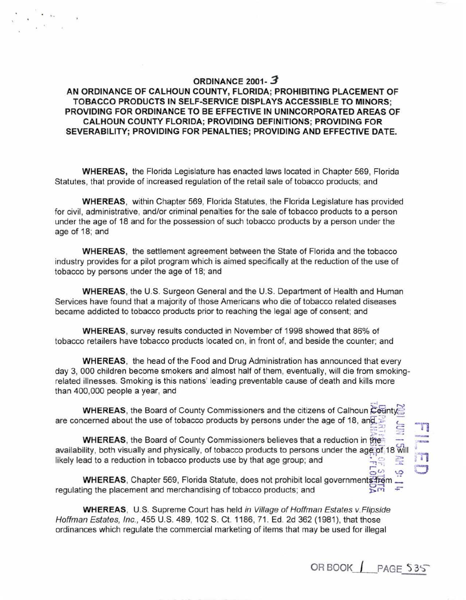# **ORDINANCE 2001-** *3*

# **AN ORDINANCE OF CALHOUN COUNTY, FLORIDA; PROHIBITING PLACEMENT OF TOBACCO PRODUCTS IN SELF-SERVICE DISPLAYS ACCESSIBLE TO MINORS; PROVIDING FOR ORDINANCE TO BE EFFECTIVE IN UNINCORPORATED AREAS OF CALHOUN COUNTY FLORIDA; PROVIDING DEFINITIONS; PROVIDING FOR SEVERABILITY; PROVIDING FOR PENAL TIES; PROVIDING AND EFFECTIVE DATE.**

**WHEREAS,** the Florida Legislature has enacted laws located in Chapter 569, Florida Statutes, that provide of increased regulation of the retail sale of tobacco products; and

**WHEREAS,** within Chapter 569, Florida Statutes, the Florida Legislature has provided for civil, administrative, and/or criminal penalties for the sale of tobacco products to a person under the age of 18 and for the possession of such tobacco products by a person under the age of 18; and

**WHEREAS,** the settlement agreement between the State of Florida and the tobacco industry provides for a pilot program which is aimed specifically at the reduction of the use of tobacco by persons under the age of 18; and

**WHEREAS,** the U.S. Surgeon General and the U.S. Department of Health and Human Services have found that a majority of those Americans who die of tobacco related diseases became addicted to tobacco products prior to reaching the legal age of consent; and

**WHEREAS,** survey results conducted in November of 1998 showed that 86% of tobacco retailers have tobacco products located on, in front of, and beside the counter; and

**WHEREAS,** the head of the Food and Drug Administration has announced that every day 3, 000 children become smokers and almost half of them, eventually, will die from smokingrelated illnesses. Smoking is this nations' leading preventable cause of death and kills more than 400,000 people a year, and

**WHEREAS, the Board of County Commissioners and the citizens of Calhoun County** are concerned about the use of tobacco products by persons under the age of 18, and  $\sum_{i=1}^{n} \sum_{i=1}^{n}$ 

**WHEREAS, the Board of County Commissioners believes that a reduction in the** availability, both visually and physically, of tobacco products to persons under the age of 18 will likely lead to a reduction in tobacco products use by that age group; and  $\frac{1}{1+\frac{1}{2}}$ 

**WHEREAS, Chapter 569, Florida Statute, does not prohibit local governments from** regulating the placement and merchandising of tobacco products; and

**WHEREAS,** U.S. Supreme Court has held in Village of Hoffman Estates v.Fiipside Hoffman Estates, Inc., 455 U.S. 489, 102 S. Ct. 1186, 71. Ed. 2d 362 (1981), that those ordinances which regulate the commercial marketing of items that may be used for illegal

**OR BOOK I PAGE** s 3';)--

---4

 $\Xi$  $\sim$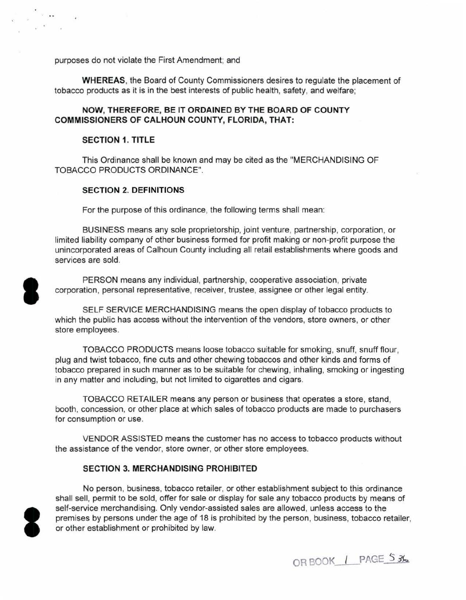purposes do not violate the First Amendment; and

WHEREAS, the Board of County Commissioners desires to regulate the placement of tobacco products as it is in the best interests of public health, safety, and welfare;

### NOW, THEREFORE, BE IT ORDAINED BY THE BOARD OF COUNTY COMMISSIONERS OF CALHOUN COUNTY, FLORIDA, THAT:

### SECTION 1. TITLE

This Ordinance shall be known and may be cited as the "MERCHANDISING OF TOBACCO PRODUCTS ORDINANCE".

#### SECTION 2. DEFINITIONS

For the purpose of this ordinance, the following terms shall mean:

BUSINESS means any sole proprietorship, joint venture, partnership, corporation, or limited liability company of other business formed for profit making or non-profit purpose the unincorporated areas of Calhoun County including all retail establishments where goods and services are sold.

PERSON means any individual, partnership, cooperative association, private corporation, personal representative, receiver, trustee, assignee or other legal entity.

SELF SERVICE MERCHANDISING means the open display of tobacco products to which the public has access without the intervention of the vendors, store owners, or other store employees.

TOBACCO PRODUCTS means loose tobacco suitable for smoking, snuff, snuff flour, plug and twist tobacco, fine cuts and other chewing tobaccos and other kinds and forms of tobacco prepared in such manner as to be suitable for chewing, inhaling, smoking or ingesting in any matter and including, but not limited to cigarettes and cigars.

TOBACCO RETAILER means any person or business that operates a store, stand, booth, concession, or other place at which sales of tobacco products are made to purchasers for consumption or use.

VENDOR ASSISTED means the customer has no access to tobacco products without the assistance of the vendor, store owner, or other store employees.

#### SECTION 3. MERCHANDISING PROHIBITED

No person, business, tobacco retailer, or other establishment subject to this ordinance shall sell, permit to be sold, offer for sale or display for sale any tobacco products by means of self-service merchandising. Only vendor-assisted sales are allowed, unless access to the premises by persons under the age of 18 is prohibited by the person, business, tobacco retailer, or other establishment or prohibited by law.



**S** 

OR BOOK | PAGE 536